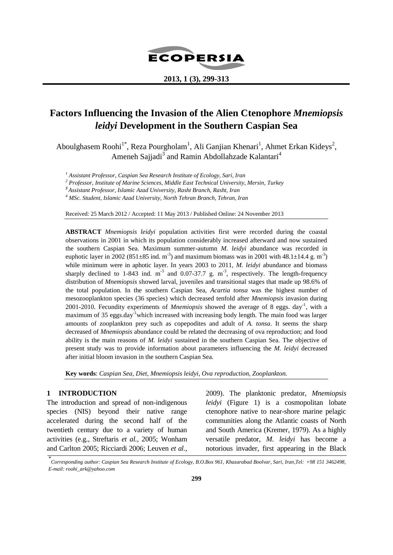

## **2013, 1 (3), 299-313**

# **Factors Influencing the Invasion of the Alien Ctenophore** *Mnemiopsis leidyi* **Development in the Southern Caspian Sea**

Aboulghasem Roohi<sup>1\*</sup>, Reza Pourgholam<sup>1</sup>, Ali Ganjian Khenari<sup>1</sup>, Ahmet Erkan Kideys<sup>2</sup>, Ameneh Sajjadi<sup>3</sup> and Ramin Abdollahzade Kalantari<sup>4</sup>

*<sup>1</sup> Assistant Professor, Caspian Sea Research Institute of Ecology, Sari, Iran*

*<sup>2</sup> Professor, Institute of Marine Sciences, Middle East Technical University, Mersin, Turkey*

*<sup>3</sup>Assistant Professor, Islamic Azad University, Rasht Branch, Rasht, Iran*

*<sup>4</sup> MSc. Student, Islamic Azad University, North Tehran Branch, Tehran, Iran*

Received: 25 March 2012 / Accepted: 11 May 2013 / Published Online: 24 November 2013

**ABSTRACT** *Mnemiopsis leidyi* population activities first were recorded during the coastal observations in 2001 in which its population considerably increased afterward and now sustained the southern Caspian Sea. Maximum summer-autumn *M. leidyi* abundance was recorded in euphotic layer in 2002 (851 $\pm$ 85 ind. m<sup>-3</sup>) and maximum biomass was in 2001 with 48.1 $\pm$ 14.4 g. m<sup>-3</sup>) while minimum were in aphotic layer. In years 2003 to 2011, *M. leidyi* abundance and biomass sharply declined to 1-843 ind.  $m^{-3}$  and 0.07-37.7 g.  $m^{-3}$ , respectively. The length-frequency distribution of *Mnemiopsis* showed larval, juveniles and transitional stages that made up 98.6% of the total population. In the southern Caspian Sea, *Acartia tonsa* was the highest number of mesozooplankton species (36 species) which decreased tenfold after *Mnemiopsis* invasion during 2001-2010. Fecundity experiments of *Mnemiopsis* showed the average of 8 eggs. day<sup>-1</sup>, with a maximum of 35 eggs.day<sup>-1</sup>which increased with increasing body length. The main food was larger amounts of zooplankton prey such as copepodites and adult of *A. tonsa*. It seems the sharp decreased of *Mnemiopsis* abundance could be related the decreasing of ova reproduction; and food ability is the main reasons of *M. leidyi* sustained in the southern Caspian Sea. The objective of present study was to provide information about parameters influencing the *M. leidyi* decreased after initial bloom invasion in the southern Caspian Sea.

**Key words**: *Caspian Sea, Diet, Mnemiopsis leidyi, Ova reproduction, Zooplankton.*

## **1 INTRODUCTION**

The introduction and spread of non-indigenous species (NIS) beyond their native range accelerated during the second half of the twentieth century due to a variety of human activities (e.g., Streftaris *et al.,* 2005; Wonham and Carlton 2005; Ricciardi 2006; Leuven *et al.,*

2009). The planktonic predator, *Mnemiopsis leidyi* (Figure 1) is a cosmopolitan lobate ctenophore native to near-shore marine pelagic communities along the Atlantic coasts of North and South America (Kremer, 1979). As a highly versatile predator, *M. leidyi* has become a notorious invader, first appearing in the Black

*<sup>\*</sup> Corresponding author: Caspian Sea Research Institute of Ecology, B.O.Box 961, Khazarabad Boolvar, Sari, Iran,Tel: +98 151 3462498, E-mail: [roohi\\_ark@yahoo.com](http://us-mg6.mail.yahoo.com/compose?to=roohi_ark@yahoo.com)*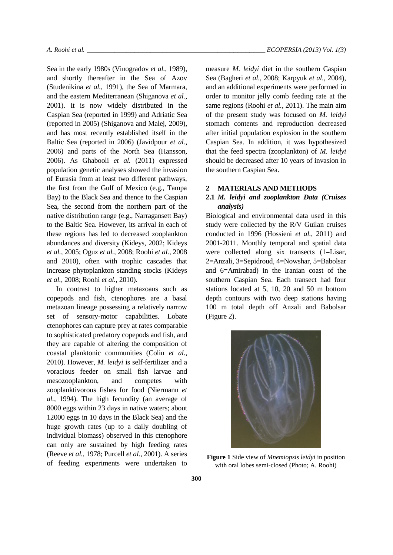Sea in the early 1980s (Vinogradov *et al.*, 1989), and shortly thereafter in the Sea of Azov (Studenikina *et al.*, 1991), the Sea of Marmara, and the eastern Mediterranean (Shiganova *et al.,* 2001). It is now widely distributed in the Caspian Sea (reported in 1999) and Adriatic Sea (reported in 2005) (Shiganova and Malej, 2009), and has most recently established itself in the Baltic Sea (reported in 2006) (Javidpour *et al.,* 2006) and parts of the North Sea (Hansson, 2006). As Ghabooli *et al.* (2011) expressed population genetic analyses showed the invasion of Eurasia from at least two different pathways, the first from the Gulf of Mexico (e.g., Tampa Bay) to the Black Sea and thence to the Caspian Sea, the second from the northern part of the native distribution range (e.g., Narragansett Bay) to the Baltic Sea. However, its arrival in each of these regions has led to decreased zooplankton abundances and diversity (Kideys, 2002; Kideys *et al.,* 2005; Oguz *et al.,* 2008; Roohi *et al.,* 2008 and 2010), often with trophic cascades that increase phytoplankton standing stocks (Kideys *et al.,* 2008; Roohi *et al.,* 2010).

In contrast to higher metazoans such as copepods and fish, ctenophores are a basal metazoan lineage possessing a relatively narrow set of sensory-motor capabilities. Lobate ctenophores can capture prey at rates comparable to sophisticated predatory copepods and fish, and they are capable of altering the composition of coastal planktonic communities (Colin *et al.,* 2010). However, *M. leidyi* is self-fertilizer and a voracious feeder on small fish larvae and mesozooplankton, and competes with zooplanktivorous fishes for food (Niermann *et al.,* 1994). The high fecundity (an average of 8000 eggs within 23 days in native waters; about 12000 eggs in 10 days in the Black Sea) and the huge growth rates (up to a daily doubling of individual biomass) observed in this ctenophore can only are sustained by high feeding rates (Reeve *et al.,* 1978; Purcell *et al.,* 2001). A series of feeding experiments were undertaken to measure *M. leidyi* diet in the southern Caspian Sea (Bagheri *et al.*, 2008; Karpyuk *et al.,* 2004), and an additional experiments were performed in order to monitor jelly comb feeding rate at the same regions (Roohi *et al.,* 2011). The main aim of the present study was focused on *M. leidyi* stomach contents and reproduction decreased after initial population explosion in the southern Caspian Sea. In addition, it was hypothesized that the feed spectra (zooplankton) of *M. leidyi* should be decreased after 10 years of invasion in the southern Caspian Sea.

#### **2 MATERIALS AND METHODS**

# **2.1** *M. leidyi and zooplankton Data (Cruises analysis)*

Biological and environmental data used in this study were collected by the R/V Guilan cruises conducted in 1996 (Hossieni *et al.,* 2011) and 2001-2011. Monthly temporal and spatial data were collected along six transects (1=Lisar, 2=Anzali, 3=Sepidroud, 4=Nowshar, 5=Babolsar and 6=Amirabad) in the Iranian coast of the southern Caspian Sea. Each transect had four stations located at 5, 10, 20 and 50 m bottom depth contours with two deep stations having 100 m total depth off Anzali and Babolsar (Figure 2).



**Figure 1** Side view of *Mnemiopsis leidyi* in position with oral lobes semi-closed (Photo; A. Roohi)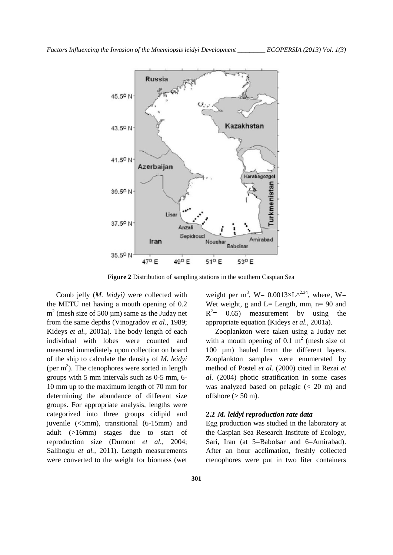

**Figure 2** Distribution of sampling stations in the southern Caspian Sea

Comb jelly (*M. leidyi)* were collected with the METU net having a mouth opening of 0.2  $m<sup>2</sup>$  (mesh size of 500 µm) same as the Juday net from the same depths (Vinogradov *et al.,* 1989; Kideys *et al.,* 2001a). The body length of each individual with lobes were counted and measured immediately upon collection on board of the ship to calculate the density of *M. leidyi*  (per  $m<sup>3</sup>$ ). The ctenophores were sorted in length groups with 5 mm intervals such as 0-5 mm, 6- 10 mm up to the maximum length of 70 mm for determining the abundance of different size groups. For appropriate analysis, lengths were categorized into three groups cidipid and juvenile (<5mm), transitional (6-15mm) and adult (>16mm) stages due to start of reproduction size (Dumont *et al.,* 2004; Salihoglu *et al.,* 2011). Length measurements were converted to the weight for biomass (wet

weight per m<sup>3</sup>, W=  $0.0013 \times L^{\sqrt{2.34}}$ , where, W= Wet weight, g and  $L=$  Length, mm, n= 90 and  $R^2$  = 0.65) measurement by using the appropriate equation (Kideys *et al.,* 2001a).

Zooplankton were taken using a Juday net with a mouth opening of 0.1  $m<sup>2</sup>$  (mesh size of 100 µm) hauled from the different layers. Zooplankton samples were enumerated by method of Postel *et al.* (2000) cited in Rezai *et al.* (2004) photic stratification in some cases was analyzed based on pelagic (< 20 m) and offshore  $(> 50 \text{ m})$ .

## **2.2** *M. leidyi reproduction rate data*

Egg production was studied in the laboratory at the Caspian Sea Research Institute of Ecology, Sari, Iran (at 5=Babolsar and 6=Amirabad). After an hour acclimation, freshly collected ctenophores were put in two liter containers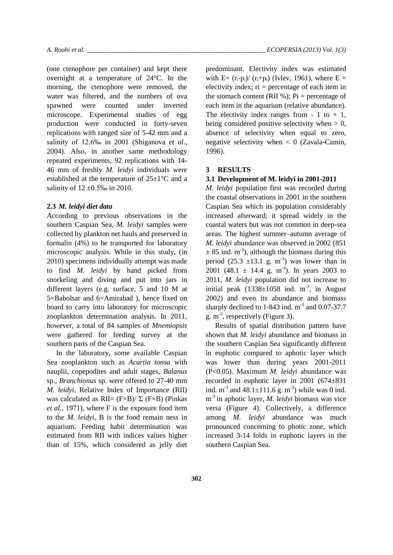(one ctenophore per container) and kept there overnight at a temperature of 24°C. In the morning, the ctenophore were removed, the water was filtered, and the numbers of ova spawned were counted under inverted microscope. Experimental studies of egg production were conducted in forty-seven replications with ranged size of 5-42 mm and a salinity of 12.6‰ in 2001 (Shiganova *et al.*, 2004). Also, in another same methodology repeated experiments, 92 replications with 14- 46 mm of freshly *M. leidyi* individuals were established at the temperature of 25±1°C and a salinity of  $12 \pm 0.5\%$  in 2010.

#### **2.3** *M. leidyi diet data*

According to previous observations in the southern Caspian Sea, *M. leidyi* samples were collected by plankton net hauls and preserved in formalin (4%) to be transported for laboratory microscopic analysis. While in this study, (in 2010) specimens individually attempt was made to find *M. leidyi* by hand picked from snorkeling and diving and put into jars in different layers (e.g. surface, 5 and 10 M at 5=Babolsar and 6=Amirabad ), hence fixed on board to carry into laboratory for microscopic zooplankton determination analysis. In 2011, however, a total of 84 samples of *Mnemiopsis* were gathered for feeding survey at the southern parts of the Caspian Sea.

In the laboratory, some available Caspian Sea zooplankton such as *Acartia tonsa* with nauplii, copepodites and adult stages, *Balanus* sp., *Branchionus* sp. were offered to 27-40 mm *M. leidyi*. Relative Index of Importance (RII) was calculated as  $\text{RII} = (\text{F} \times \text{B}) / \Sigma$  (F $\times$ B) (Pinkas *et al.,* 1971), where F is the exposure food item to the *M. leidyi*, B is the food remain ness in aquarium. Feeding habit determination was estimated from RII with indices values higher than of 15%, which considered as jelly diet predominant. Electivity index was estimated with E=  $(r_i-p_i)/(r_i+p_i)$  (Ivlev, 1961), where E = electivity index;  $ri =$  percentage of each item in the stomach content (RII %);  $Pi$  = percentage of each item in the aquarium (relative abundance). The electivity index ranges from  $-1$  to  $+1$ , being considered positive selectivity when  $> 0$ , absence of selectivity when equal to zero, negative selectivity when  $\langle 0 \rangle$  (Zavala-Camin, 1996).

#### **3 RESULTS**

#### **3.1 Development of M. leidyi in 2001-2011**

*M. leidyi* population first was recorded during the coastal observations in 2001 in the southern Caspian Sea which its population considerably increased afterward; it spread widely in the coastal waters but was not common in deep-sea areas. The highest summer–autumn average of *M. leidyi* abundance was observed in 2002 (851  $\pm$  85 ind. m<sup>-3</sup>), although the biomass during this period  $(25.3 \pm 13.1 \text{ g. m}^{-3})$  was lower than in 2001 (48.1  $\pm$  14.4 g. m<sup>-3</sup>). In years 2003 to 2011, *M. leidyi* population did not increase to initial peak  $(1338 \pm 1058)$  ind. m<sup>-3</sup>, in August 2002) and even its abundance and biomass sharply declined to  $1-843$  ind.  $m^{-3}$  and  $0.07-37.7$ g.  $m^{-3}$ , respectively (Figure 3).

Results of spatial distribution pattern have shown that *M. leidyi* abundance and biomass in the southern Caspian Sea significantly different in euphotic compared to aphotic layer which was lower than during years 2001-2011 (P<0.05). Maximum *M. leidyi* abundance was recorded in euphotic layer in 2001 (674±831 ind.  $m^{-3}$  and  $48.1 \pm 111.6$  g.  $m^{-3}$ ) while was 0 ind. m -3 in aphotic layer, *M. leidyi* biomass was vice versa (Figure 4)*.* Collectively, a difference among *M. leidyi* abundance was much pronounced concerning to photic zone, which increased 3-14 folds in euphotic layers in the southern Caspian Sea.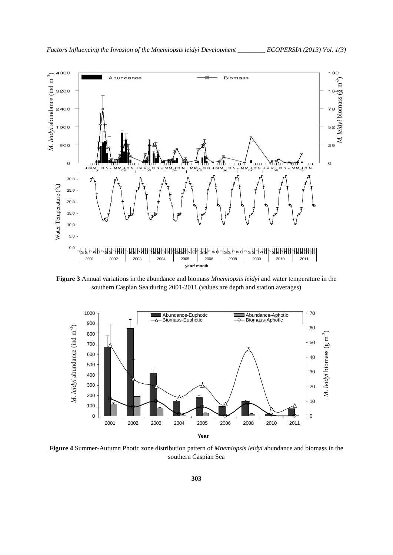

**Figure 3** Annual variations in the abundance and biomass *Mnemiopsis leidyi* and water temperature in the southern Caspian Sea during 2001-2011 (values are depth and station averages)



**Figure 4** Summer-Autumn Photic zone distribution pattern of *Mnemiopsis leidyi* abundance and biomass in the southern Caspian Sea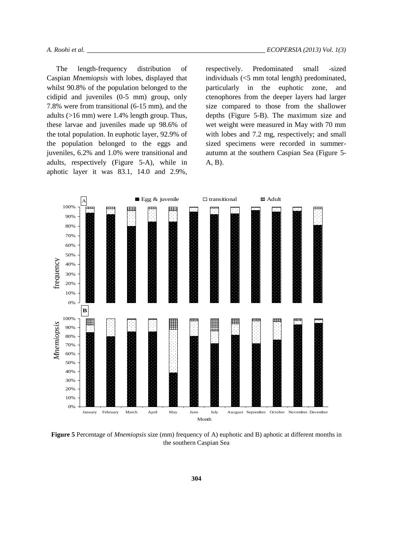The length-frequency distribution of Caspian *Mnemiopsis* with lobes, displayed that whilst 90.8% of the population belonged to the cidipid and juveniles (0-5 mm) group, only 7.8% were from transitional (6-15 mm), and the adults (>16 mm) were 1.4% length group. Thus, these larvae and juveniles made up 98.6% of the total population. In euphotic layer, 92.9% of the population belonged to the eggs and juveniles, 6.2% and 1.0% were transitional and adults, respectively (Figure 5-A), while in aphotic layer it was 83.1, 14.0 and 2.9%,

respectively. Predominated small -sized individuals (<5 mm total length) predominated, particularly in the euphotic zone, and ctenophores from the deeper layers had larger size compared to those from the shallower depths (Figure 5-B). The maximum size and wet weight were measured in May with 70 mm with lobes and 7.2 mg, respectively; and small sized specimens were recorded in summerautumn at the southern Caspian Sea (Figure 5- A, B).



**Figure 5** Percentage of *Mnemiopsis* size (mm) frequency of A) euphotic and B) aphotic at different months in the southern Caspian Sea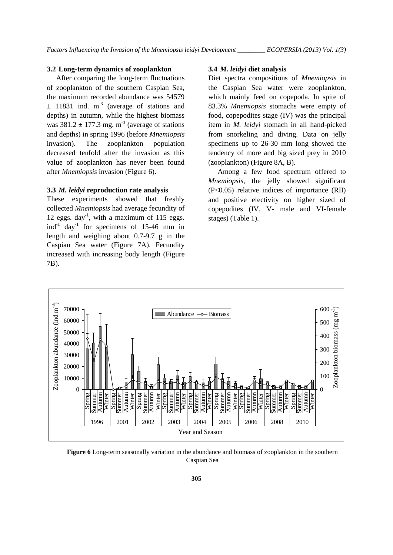#### **3.2 Long-term dynamics of zooplankton**

After comparing the long-term fluctuations of zooplankton of the southern Caspian Sea, the maximum recorded abundance was 54579  $\pm$  11831 ind. m<sup>-3</sup> (average of stations and depths) in autumn, while the highest biomass was  $381.2 \pm 177.3$  mg. m<sup>-3</sup> (average of stations and depths) in spring 1996 (before *Mnemiopsis* invasion). The zooplankton population decreased tenfold after the invasion as this value of zooplankton has never been found after *Mnemiopsis* invasion (Figure 6).

#### **3.3** *M. leidyi* **reproduction rate analysis**

These experiments showed that freshly collected *Mnemiopsis* had average fecundity of 12 eggs.  $day^{-1}$ , with a maximum of 115 eggs. ind<sup>-1</sup> day<sup>-1</sup> for specimens of 15-46 mm in length and weighing about 0.7-9.7 g in the Caspian Sea water (Figure 7A). Fecundity increased with increasing body length (Figure 7B).

## **3.4** *M. leidyi* **diet analysis**

Diet spectra compositions of *Mnemiopsis* in the Caspian Sea water were zooplankton, which mainly feed on copepoda. In spite of 83.3% *Mnemiopsis* stomachs were empty of food, copepodites stage (IV) was the principal item in *M. leidyi* stomach in all hand-picked from snorkeling and diving. Data on jelly specimens up to 26-30 mm long showed the tendency of more and big sized prey in 2010 (zooplankton) (Figure 8A, B).

Among a few food spectrum offered to *Mnemiopsis*, the jelly showed significant (P<0.05) relative indices of importance (RII) and positive electivity on higher sized of copepodites (IV, V- male and VI-female stages) (Table 1).



**Figure 6** Long-term seasonally variation in the abundance and biomass of zooplankton in the southern Caspian Sea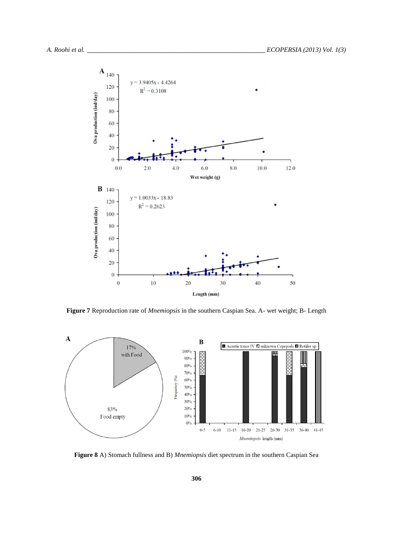

**Figure 7** Reproduction rate of *Mnemiopsis* in the southern Caspian Sea. A- wet weight; B- Length



**Figure 8** A) Stomach fullness and B) *Mnemiopsis* diet spectrum in the southern Caspian Sea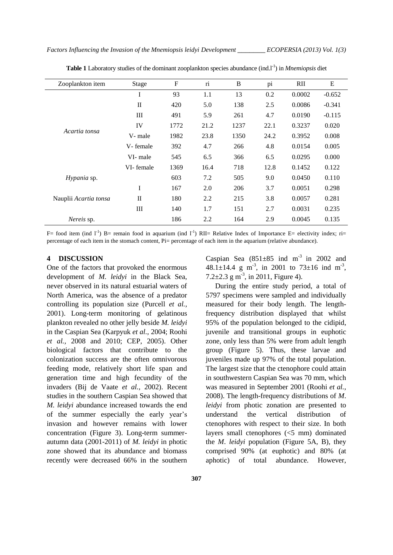| Zooplankton item      | Stage        | ${\bf F}$ | $\overline{\textbf{n}}$ | B    | pi   | RII    | ${\bf E}$ |
|-----------------------|--------------|-----------|-------------------------|------|------|--------|-----------|
| Acartia tonsa         | I            | 93        | 1.1                     | 13   | 0.2  | 0.0002 | $-0.652$  |
|                       | $\mathbf{I}$ | 420       | 5.0                     | 138  | 2.5  | 0.0086 | $-0.341$  |
|                       | Ш            | 491       | 5.9                     | 261  | 4.7  | 0.0190 | $-0.115$  |
|                       | IV           | 1772      | 21.2                    | 1237 | 22.1 | 0.3237 | 0.020     |
|                       | V- male      | 1982      | 23.8                    | 1350 | 24.2 | 0.3952 | 0.008     |
|                       | V-female     | 392       | 4.7                     | 266  | 4.8  | 0.0154 | 0.005     |
|                       | VI- male     | 545       | 6.5                     | 366  | 6.5  | 0.0295 | 0.000     |
|                       | VI-female    | 1369      | 16.4                    | 718  | 12.8 | 0.1452 | 0.122     |
| Hypania sp.           |              | 603       | 7.2                     | 505  | 9.0  | 0.0450 | 0.110     |
| Nauplii Acartia tonsa | I            | 167       | 2.0                     | 206  | 3.7  | 0.0051 | 0.298     |
|                       | $_{\rm II}$  | 180       | 2.2                     | 215  | 3.8  | 0.0057 | 0.281     |
|                       | Ш            | 140       | 1.7                     | 151  | 2.7  | 0.0031 | 0.235     |
| Nereis sp.            |              | 186       | 2.2                     | 164  | 2.9  | 0.0045 | 0.135     |

Table 1 Laboratory studies of the dominant zooplankton species abundance (ind.<sup>1-1</sup>) in *Mnemiopsis* diet

F= food item (ind  $I^{-1}$ ) B= remain food in aquarium (ind  $I^{-1}$ ) RII= Relative Index of Importance E= electivity index; ri= percentage of each item in the stomach content, Pi= percentage of each item in the aquarium (relative abundance).

## **4 DISCUSSION**

One of the factors that provoked the enormous development of *M. leidyi* in the Black Sea, never observed in its natural estuarial waters of North America, was the absence of a predator controlling its population size (Purcell *et al.,* 2001). Long-term monitoring of gelatinous plankton revealed no other jelly beside *M. leidyi* in the Caspian Sea (Karpyuk *et al.,* 2004; Roohi *et al.,* 2008 and 2010; CEP, 2005). Other biological factors that contribute to the colonization success are the often omnivorous feeding mode, relatively short life span and generation time and high fecundity of the invaders (Bij de Vaate *et al.,* 2002). Recent studies in the southern Caspian Sea showed that *M. leidyi* abundance increased towards the end of the summer especially the early year's invasion and however remains with lower concentration (Figure 3). Long-term summerautumn data (2001-2011) of *M. leidyi* in photic zone showed that its abundance and biomass recently were decreased 66% in the southern Caspian Sea  $(851\pm85 \text{ ind } \text{m}^{-3} \text{ in } 2002 \text{ and }$  $48.1 \pm 14.4$  g m<sup>-3</sup>, in 2001 to 73 $\pm 16$  ind m<sup>-3</sup>, 7.2 $\pm$ 2.3 g m<sup>-3</sup>, in 2011, Figure 4).

During the entire study period, a total of 5797 specimens were sampled and individually measured for their body length. The lengthfrequency distribution displayed that whilst 95% of the population belonged to the cidipid, juvenile and transitional groups in euphotic zone, only less than 5% were from adult length group (Figure 5). Thus, these larvae and juveniles made up 97% of the total population. The largest size that the ctenophore could attain in southwestern Caspian Sea was 70 mm, which was measured in September 2001 (Roohi *et al.,* 2008). The length-frequency distributions of *M*. *leidyi* from photic zonation are presented to understand the vertical distribution of ctenophores with respect to their size. In both layers small ctenophores (<5 mm) dominated the *M*. *leidyi* population (Figure 5A, B), they comprised 90% (at euphotic) and 80% (at aphotic) of total abundance. However,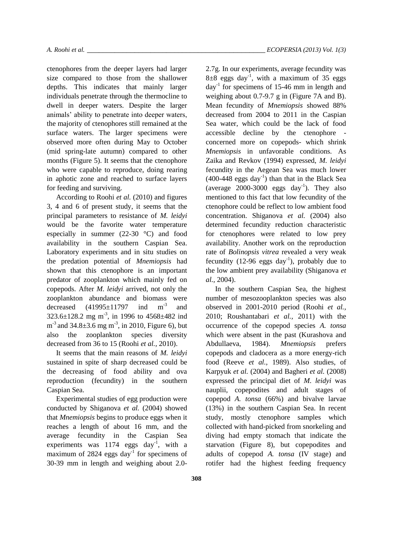ctenophores from the deeper layers had larger size compared to those from the shallower depths. This indicates that mainly larger individuals penetrate through the thermocline to dwell in deeper waters. Despite the larger animals' ability to penetrate into deeper waters, the majority of ctenophores still remained at the surface waters. The larger specimens were observed more often during May to October (mid spring-late autumn) compared to other months (Figure 5). It seems that the ctenophore who were capable to reproduce, doing rearing in aphotic zone and reached to surface layers for feeding and surviving.

According to Roohi *et al.* (2010) and figures 3, 4 and 6 of present study, it seems that the principal parameters to resistance of *M. leidyi* would be the favorite water temperature especially in summer (22-30 °C) and food availability in the southern Caspian Sea. Laboratory experiments and in situ studies on the predation potential of *Mnemiopsis* had shown that this ctenophore is an important predator of zooplankton which mainly fed on copepods. After *M. leidyi* arrived, not only the zooplankton abundance and biomass were decreased  $(41995 \pm 11797 \text{ ind } \text{m}^{-3} \text{ and}$  $323.6 \pm 128.2$  mg m<sup>-3</sup>, in 1996 to 4568 $\pm$ 482 ind  $m^{-3}$  and 34.8 $\pm$ 3.6 mg m<sup>-3</sup>, in 2010, Figure 6), but also the zooplankton species diversity decreased from 36 to 15 (Roohi *et al.,* 2010).

It seems that the main reasons of *M. leidyi* sustained in spite of sharp decreased could be the decreasing of food ability and ova reproduction (fecundity) in the southern Caspian Sea.

Experimental studies of egg production were conducted by Shiganova *et al.* (2004) showed that *Mnemiopsis* begins to produce eggs when it reaches a length of about 16 mm, and the average fecundity in the Caspian Sea experiments was  $1174$  eggs day<sup>-1</sup>, with a maximum of 2824 eggs day<sup>-1</sup> for specimens of 30-39 mm in length and weighing about 2.02.7g. In our experiments, average fecundity was  $8\pm8$  eggs day<sup>-1</sup>, with a maximum of 35 eggs day-1 for specimens of 15-46 mm in length and weighing about 0.7-9.7 g in (Figure 7A and B). Mean fecundity of *Mnemiopsis* showed 88% decreased from 2004 to 2011 in the Caspian Sea water, which could be the lack of food accessible decline by the ctenophore concerned more on copepods- which shrink *Mnemiopsis* in unfavorable conditions. As Zaika and Revkov (1994) expressed, *M. leidyi* fecundity in the Aegean Sea was much lower  $(400-448$  eggs day<sup>-1</sup>) than that in the Black Sea (average  $2000-3000$  eggs day<sup>-1</sup>). They also mentioned to this fact that low fecundity of the ctenophore could be reflect to low ambient food concentration. Shiganova *et al.* (2004) also determined fecundity reduction characteristic for ctenophores were related to low prey availability. Another work on the reproduction rate of *Bolinopsis vitrea* revealed a very weak fecundity  $(12{\text -}96 \text{ eggs day}^{-1})$ , probably due to the low ambient prey availability (Shiganova *et al.,* 2004).

In the southern Caspian Sea, the highest number of mesozooplankton species was also observed in 2001-2010 period (Roohi *et al.,* 2010; Roushantabari *et al.,* 2011) with the occurrence of the copepod species *A. tonsa*  which were absent in the past (Kurashova and Abdullaeva, 1984). *Mnemiopsis* prefers copepods and cladocera as a more energy-rich food (Reeve *et al.,* 1989). Also studies, of Karpyuk *et al.* (2004) and Bagheri *et al.* (2008) expressed the principal diet of *M. leidyi* was nauplii, copepodites and adult stages of copepod *A. tonsa* (66%) and bivalve larvae (13%) in the southern Caspian Sea. In recent study, mostly ctenophore samples which collected with hand-picked from snorkeling and diving had empty stomach that indicate the starvation (Figure 8), but copepodites and adults of copepod *A. tonsa* (IV stage) and rotifer had the highest feeding frequency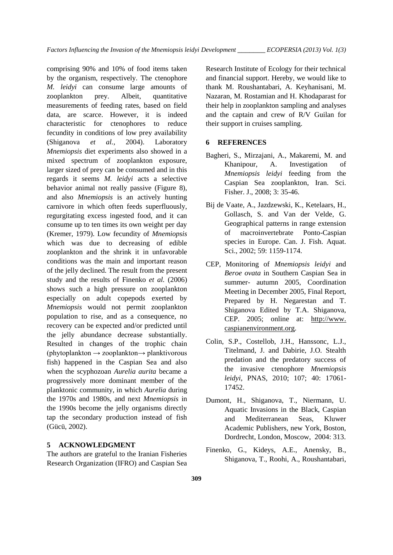comprising 90% and 10% of food items taken by the organism, respectively. The ctenophore *M. leidyi* can consume large amounts of zooplankton prey. Albeit, quantitative measurements of feeding rates, based on field data, are scarce. However, it is indeed characteristic for ctenophores to reduce fecundity in conditions of low prey availability (Shiganova *et al.,* 2004). Laboratory *Mnemiopsis* diet experiments also showed in a mixed spectrum of zooplankton exposure, larger sized of prey can be consumed and in this regards it seems *M. leidyi* acts a selective behavior animal not really passive (Figure 8), and also *Mnemiopsis* is an actively hunting carnivore in which often feeds superfluously, regurgitating excess ingested food, and it can consume up to ten times its own weight per day (Kremer, 1979). Low fecundity of *Mnemiopsis* which was due to decreasing of edible zooplankton and the shrink it in unfavorable conditions was the main and important reason of the jelly declined. The result from the present study and the results of Finenko *et al.* (2006) shows such a high pressure on zooplankton especially on adult copepods exerted by *Mnemiopsis* would not permit zooplankton population to rise, and as a consequence, no recovery can be expected and/or predicted until the jelly abundance decrease substantially. Resulted in changes of the trophic chain (phytoplankton → zooplankton→ planktivorous fish) happened in the Caspian Sea and also when the scyphozoan *Aurelia aurita* became a progressively more dominant member of the planktonic community, in which *Aurelia* during the 1970s and 1980s, and next *Mnemiopsis* in the 1990s become the jelly organisms directly tap the secondary production instead of fish (Gücü, 2002).

# **5 ACKNOWLEDGMENT**

The authors are grateful to the Iranian Fisheries Research Organization (IFRO) and Caspian Sea Research Institute of Ecology for their technical and financial support. Hereby, we would like to thank M. Roushantabari, A. Keyhanisani, M. Nazaran, M. Rostamian and H. Khodaparast for their help in zooplankton sampling and analyses and the captain and crew of R/V Guilan for their support in cruises sampling.

## **6 REFERENCES**

- Bagheri, S., Mirzajani, A., Makaremi, M. and Khanipour, A. Investigation of *Mnemiopsis leidyi* feeding from the Caspian Sea zooplankton, Iran. Sci. Fisher. J., 2008; 3: 35-46.
- Bij de Vaate, A., Jazdzewski, K., Ketelaars, H., Gollasch, S. and Van der Velde, G. Geographical patterns in range extension of macroinvertebrate Ponto-Caspian species in Europe. Can. J. Fish. Aquat. Sci., 2002; 59: 1159-1174.
- CEP, Monitoring of *Mnemiopsis leidyi* and *Beroe ovata* in Southern Caspian Sea in summer- autumn 2005, Coordination Meeting in December 2005, Final Report, Prepared by H. Negarestan and T. Shiganova Edited by T.A. Shiganova, CEP. 2005; online at: http://www. caspianenvironment.org.
- Colin, S.P., Costellob, J.H., Hanssonc, L.J., Titelmand, J. and Dabirie, J.O. Stealth predation and the predatory success of the invasive ctenophore *Mnemiopsis leidyi*, PNAS, 2010; 107; 40: 17061- 17452.
- Dumont, H., Shiganova, T., Niermann, U. Aquatic Invasions in the Black, Caspian and Mediterranean Seas, Kluwer Academic Publishers, new York, Boston, Dordrecht, London, Moscow, 2004: 313.
- Finenko, G., Kideys, A.E., Anensky, B., Shiganova, T., Roohi, A., Roushantabari,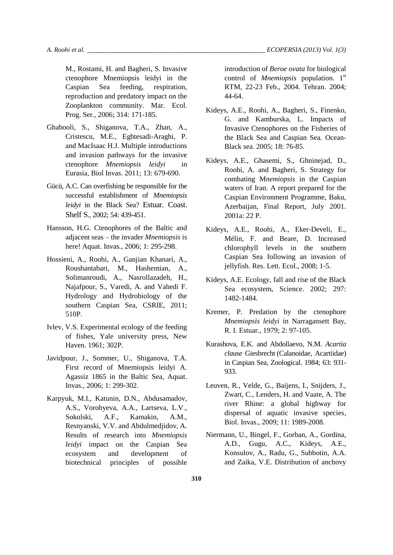M., Rostami, H. and Bagheri, S. Invasive ctenophore Mnemiopsis leidyi in the Caspian Sea feeding, respiration, reproduction and predatory impact on the Zooplankton community. Mar. Ecol. Prog. Ser*.,* 2006; 314: 171-185.

- Ghabooli, S., Shiganova, T.A., Zhan, A., Cristescu, M.E., Eghtesadi-Araghi, P. and MacIsaac H.J. Multiple introductions and invasion pathways for the invasive ctenophore *Mnemiopsis leidyi* in Eurasia, Biol Invas. 2011; 13: 679-690.
- Gücü, A.C. Can overfishing be responsible for the successful establishment of *Mnemiopsis leidyi* in the Black Sea? Estuar. Coast. Shelf S., 2002; 54: 439-451.
- Hansson, H.G. Ctenophores of the Baltic and adjacent seas – the invader *Mnemiopsis* is here! Aquat. Invas*.,* 2006; 1: 295-298.
- Hossieni, A., Roohi, A., Ganjian Khanari, A., Roushantabari, M., Hashemian, A., Solimanroudi, A., Nasrollazadeh, H., Najafpour, S., Varedi, A. and Vahedi F. Hydrology and Hydrobiology of the southern Caspian Sea, CSRIE, 2011; 510P.
- Ivlev, V.S. Experimental ecology of the feeding of fishes, Yale university press, New Haven. 1961; 302P.
- Javidpour, J., Sommer, U., Shiganova, T.A. First record of Mnemiopsis leidyi A. Agassiz 1865 in the Baltic Sea, Aquat. Invas*.*, 2006; 1: 299-302.
- Karpyuk, M.I., Katunin, D.N., Abdusamadov, A.S., Vorobyeva, A.A., Lartseva, L.V., Sokolski, A.F., Kamakin, A.M., Resnyanski, V.V. and Abdulmedjidov, A. Results of research into *Mnemiopsis leidyi* impact on the Caspian Sea ecosystem and development of biotechnical principles of possible

introduction of *Beroe ovata* for biological control of *Mnemiopsis* population. 1<sup>st</sup> RTM, 22-23 Feb., 2004. Tehran. 2004; 44-64.

- Kideys, A.E., Roohi, A., Bagheri, S., Finenko, G. and Kamburska, L. Impacts of Invasive Ctenophores on the Fisheries of the Black Sea and Caspian Sea. Ocean-Black sea. 2005; 18: 76-85.
- Kideys, A.E., Ghasemi, S., Ghninejad, D., Roohi, A. and Bagheri, S. Strategy for combating M*nemiopsis* in the Caspian waters of Iran. A report prepared for the Caspian Environment Programme, Baku, Azerbaijan, Final Report, July 2001. 2001a: 22 P.
- Kideys, A.E., Roohi, A., Eker-Develi, E., Mélin, F. and Beare, D. Increased chlorophyll levels in the southern Caspian Sea following an invasion of jellyfish. Res. Lett. Ecol., 2008; 1-5.
- Kideys, A.E. Ecology, fall and rise of the Black Sea ecosystem, Science. 2002; 297: 1482-1484.
- Kremer, P. Predation by the ctenophore *Mnemiopsis leidyi* in Narragansett Bay, R. I. Estuar., 1979; 2: 97-105.
- Kurashova, E.K. and Abdollaevo, N.M. *Acartia clause* Giesbrecht (Calanoidae, Acartiidae) in Caspian Sea, Zoological. 1984; 63: 931- 933.
- Leuven, R., Velde, G., Baijens, I., Snijders, J., Zwart, C., Lenders, H. and Vaate, A. The river Rhine: a global highway for dispersal of aquatic invasive species, Biol. Invas., 2009; 11: 1989-2008.
- Niermann, U., Bingel, F., Gorban, A., Gordina, A.D., Gugu, A.C., Kideys, A.E., Konsulov, A., Radu, G., Subbotin, A.A. and Zaika, V.E. Distribution of anchovy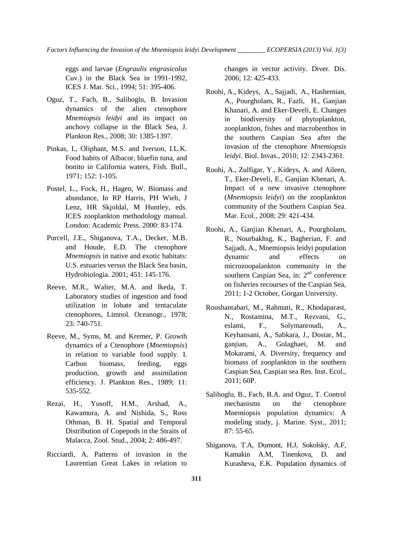*Factors Influencing the Invasion of the Mnemiopsis leidyi Development \_\_\_\_\_\_\_ ECOPERSIA (2013) Vol. 1(3)*

eggs and larvae (*Engraulis engrasicolus*  Cuv.) in the Black Sea in 1991-1992, ICES J. Mar. Sci., 1994; 51: 395-406.

- Oguz, T., Fach, B., Salihoglu, B. Invasion dynamics of the alien ctenophore *Mnemiopsis leidyi* and its impact on anchovy collapse in the Black Sea, J. Plankton Res., 2008; 30: 1385-1397.
- Pinkas, I., Oliphant, M.S. and Iverson, I.L.K. Food habits of Albacor, bluefin tuna, and bonito in California waters, Fish. Bull., 1971; 152: 1-105.
- Postel, L., Fock, H., Hagen, W. Biomass and abundance, In RP Harris, PH Wieb, J Lenz, HR Skjoldal, M Huntley, eds. ICES zooplankton methodology manual. London: Academic Press. 2000: 83-174.
- Purcell, J.E., Shiganova, T.A., Decker, M.B. and Houde, E.D. The ctenophore *Mnemiopsis* in native and exotic habitats: U.S. estuaries versus the Black Sea basin, Hydrobiologia. 2001; 451: 145-176.
- Reeve, M.R., Walter, M.A. and Ikeda, T. Laboratory studies of ingestion and food utilization in lobate and tentaculate ctenophores, Limnol. Oceanogr., 1978; 23: 740-751.
- Reeve, M., Syms, M. and Kremer, P. Growth dynamics of a Ctenophore (*Mnemiopsis*) in relation to variable food supply. I. Carbon biomass, feeding, eggs production, growth and assimilation efficiency. J. Plankton Res., 1989; 11: 535-552.
- Rezai, H., Yusoff, H.M., Arshad, A., Kawamura, A. and Nishida, S., Ross Othman, B. H. Spatial and Temporal Distribution of Copepods in the Straits of Malacca, Zool. Stud., 2004; 2: 486-497.
- Ricciardi, A. Patterns of invasion in the Laurentian Great Lakes in relation to

changes in vector activity. Diver. Dis. 2006; 12: 425-433.

- Roohi, A., Kideys, A., Sajjadi, A., Hashemian, A., Pourgholam, R., Fazli, H., Ganjian Khanari, A. and Eker-Develi, E. Changes in biodiversity of phytoplankton, zooplankton, fishes and macrobenthos in the southern Caspian Sea after the invasion of the ctenophore *Mnemiopsis leidyi*. Biol. Invas*.*, 2010; 12: 2343-2361.
- Roohi, A., Zulfigar, Y., Kideys, A. and Aileen, T., Eker-Develi, E., Ganjian Khenari, A. Impact of a new invasive ctenophore (*Mnemiopsis leidyi*) on the zooplankton community of the Southern Caspian Sea. Mar. Ecol., 2008; 29: 421-434.
- Roohi, A., Ganjian Khenari, A., Pourgholam, R., Nourbakhsg, K., Bagherian, F. and Sajjadi, A., Mnemiopsis leidyi population dynamic and effects on microzoopalankton community in the southern Caspian Sea, in: 2<sup>nd</sup> conference on fisheries recourses of the Caspian Sea, 2011; 1-2 October, Gorgan University.
- Roushantabari, M., Rahmati, R., Khodaparast, N., Rostamina, M.T., Rezvani, G., eslami, F., Solymanroudi, A., Keyhansani, A., Sabkara, J., Dostar, M., ganjian, A., Golaghaei, M. and Mokarami, A. Diversity, frequency and biomass of zooplankton in the southern Caspian Sea, Caspian sea Res. Inst. Ecol., 2011; 60P.
- Salihoglu, B., Fach, B.A. and Oguz, T. Control mechanisms on the ctenophore Mnemiopsis population dynamics: A modeling study, j. [Marine.](http://www.sciencedirect.com/science/journal/09247963) Syst., 2011; 87: 55-65.
- Shiganova, T.A, Dumont, H.J, Sokolsky, A.F, Kamakin A.M, Tinenkova, D. and Kurasheva, E.K. Population dynamics of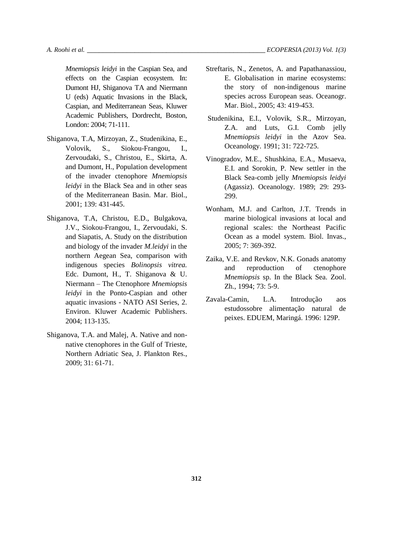*Mnemiopsis leidyi* in the Caspian Sea, and effects on the Caspian ecosystem. In: Dumont HJ, Shiganova TA and Niermann U (eds) Aquatic Invasions in the Black, Caspian, and Mediterranean Seas, Kluwer Academic Publishers, Dordrecht, Boston, London: 2004; 71-111.

- Shiganova, T.A, Mirzoyan, Z., Studenikina, E., Volovik, S., Siokou-Frangou, I., Zervoudaki, S., Christou, E., Skirta, A. and Dumont, H., Population development of the invader ctenophore *Mnemiopsis leidyi* in the Black Sea and in other seas of the Mediterranean Basin. Mar. Biol., 2001; 139: 431-445.
- Shiganova, T.A, Christou, E.D., Bulgakova, J.V., Siokou-Frangou, I., Zervoudaki, S. and Siapatis, A. Study on the distribution and biology of the invader *M.leidyi* in the northern Aegean Sea, comparison with indigenous species *Bolinopsis vitrea.*  Edc. Dumont, H., T. Shiganova & U. Niermann – The Ctenophore *Mnemiopsis leidyi* in the Ponto-Caspian and other aquatic invasions - NATO ASI Series, 2. Environ. Kluwer Academic Publishers. 2004; 113-135.
- Shiganova, T.A. and Malej, A. Native and nonnative ctenophores in the Gulf of Trieste, Northern Adriatic Sea, J. Plankton Res., 2009; 31: 61-71.
- Streftaris, N., Zenetos, A. and Papathanassiou, E. Globalisation in marine ecosystems: the story of non-indigenous marine species across European seas. Oceanogr. Mar. Biol., 2005; 43: 419-453.
- Studenikina, E.I., Volovik, S.R., Mirzoyan, Z.A. and Luts, G.I. Comb jelly *Mnemiopsis leidyi* in the Azov Sea. Oceanology. 1991; 31: 722-725.
- Vinogradov, M.E., Shushkina, E.A., Musaeva, E.I. and Sorokin, P. New settler in the Black Sea-comb jelly *Mnemiopsis leidyi* (Agassiz). Oceanology. 1989; 29: 293- 299.
- Wonham, M.J. and Carlton, J.T. Trends in marine biological invasions at local and regional scales: the Northeast Pacific Ocean as a model system. Biol. Invas., 2005; 7: 369-392.
- Zaika, V.E. and Revkov, N.K. Gonads anatomy and reproduction of ctenophore *Mnemiopsis* sp. In the Black Sea. Zool. Zh., 1994; 73: 5-9.
- Zavala-Camin, L.A. Introdução aos estudossobre alimentação natural de peixes. EDUEM, Maringá. 1996: 129P.